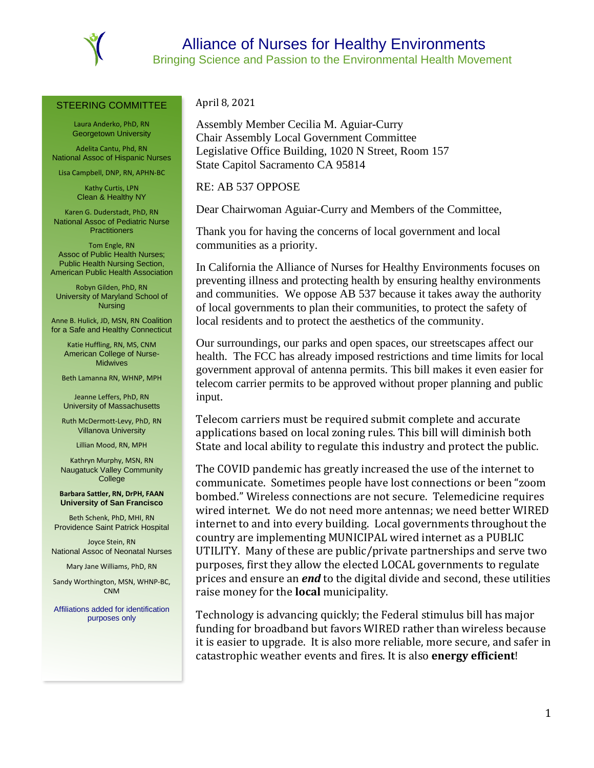

## STEERING COMMITTEE

Laura Anderko, PhD, RN Georgetown University

Adelita Cantu, Phd, RN National Assoc of Hispanic Nurses

Lisa Campbell, DNP, RN, APHN-BC

Kathy Curtis, LPN Clean & Healthy NY

Karen G. Duderstadt, PhD, RN National Assoc of Pediatric Nurse **Practitioners** 

Tom Engle, RN Assoc of Public Health Nurses; Public Health Nursing Section, American Public Health Association

Robyn Gilden, PhD, RN University of Maryland School of Nursing

Anne B. Hulick, JD, MSN, RN Coalition for a Safe and Healthy Connecticut

Katie Huffling, RN, MS, CNM American College of Nurse-**Midwives** 

Beth Lamanna RN, WHNP, MPH

Jeanne Leffers, PhD, RN University of Massachusetts

Ruth McDermott-Levy, PhD, RN Villanova University

Lillian Mood, RN, MPH

Kathryn Murphy, MSN, RN Naugatuck Valley Community **College** 

**Barbara Sattler, RN, DrPH, FAAN University of San Francisco** 

Beth Schenk, PhD, MHI, RN Providence Saint Patrick Hospital

Joyce Stein, RN National Assoc of Neonatal Nurses

Mary Jane Williams, PhD, RN

Sandy Worthington, MSN, WHNP-BC, CNM

Affiliations added for identification purposes only

April 8, 2021

Assembly Member Cecilia M. Aguiar-Curry Chair Assembly Local Government Committee Legislative Office Building, 1020 N Street, Room 157 State Capitol Sacramento CA 95814

RE: AB 537 OPPOSE

Dear Chairwoman Aguiar-Curry and Members of the Committee,

Thank you for having the concerns of local government and local communities as a priority.

In California the Alliance of Nurses for Healthy Environments focuses on preventing illness and protecting health by ensuring healthy environments and communities. We oppose AB 537 because it takes away the authority of local governments to plan their communities, to protect the safety of local residents and to protect the aesthetics of the community.

Our surroundings, our parks and open spaces, our streetscapes affect our health. The FCC has already imposed restrictions and time limits for local government approval of antenna permits. This bill makes it even easier for telecom carrier permits to be approved without proper planning and public input.

Telecom carriers must be required submit complete and accurate applications based on local zoning rules. This bill will diminish both State and local ability to regulate this industry and protect the public.

The COVID pandemic has greatly increased the use of the internet to communicate. Sometimes people have lost connections or been "zoom bombed." Wireless connections are not secure. Telemedicine requires wired internet. We do not need more antennas; we need better WIRED internet to and into every building. Local governments throughout the country are implementing MUNICIPAL wired internet as a PUBLIC UTILITY. Many of these are public/private partnerships and serve two purposes, first they allow the elected LOCAL governments to regulate prices and ensure an *end* to the digital divide and second, these utilities raise money for the **local** municipality.

Technology is advancing quickly; the Federal stimulus bill has major funding for broadband but favors WIRED rather than wireless because it is easier to upgrade. It is also more reliable, more secure, and safer in catastrophic weather events and fires. It is also **energy efficient**!